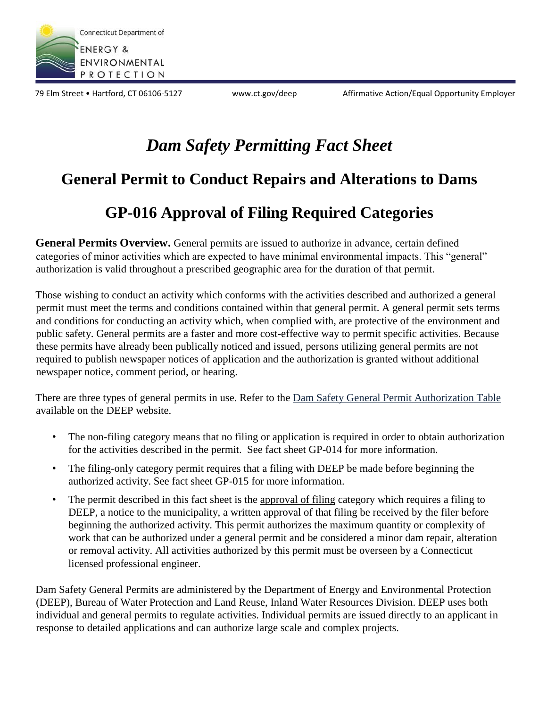

79 Elm Street • Hartford, CT 06106-5127 www.ct.gov/deep Affirmative Action/Equal Opportunity Employer

# *Dam Safety Permitting Fact Sheet*

### **General Permit to Conduct Repairs and Alterations to Dams**

## **GP-016 Approval of Filing Required Categories**

**General Permits Overview.** General permits are issued to authorize in advance, certain defined categories of minor activities which are expected to have minimal environmental impacts. This "general" authorization is valid throughout a prescribed geographic area for the duration of that permit.

Those wishing to conduct an activity which conforms with the activities described and authorized a general permit must meet the terms and conditions contained within that general permit. A general permit sets terms and conditions for conducting an activity which, when complied with, are protective of the environment and public safety. General permits are a faster and more cost-effective way to permit specific activities. Because these permits have already been publically noticed and issued, persons utilizing general permits are not required to publish newspaper notices of application and the authorization is granted without additional newspaper notice, comment period, or hearing.

There are three types of general permits in use. Refer to the Dam Safety General Permit Authorization Table available on the DEEP website.

- The non-filing category means that no filing or application is required in order to obtain authorization for the activities described in the permit. See fact sheet GP-014 for more information.
- The filing-only category permit requires that a filing with DEEP be made before beginning the authorized activity. See fact sheet GP-015 for more information.
- The permit described in this fact sheet is the approval of filing category which requires a filing to DEEP, a notice to the municipality, a written approval of that filing be received by the filer before beginning the authorized activity. This permit authorizes the maximum quantity or complexity of work that can be authorized under a general permit and be considered a minor dam repair, alteration or removal activity. All activities authorized by this permit must be overseen by a Connecticut licensed professional engineer.

Dam Safety General Permits are administered by the Department of Energy and Environmental Protection (DEEP), Bureau of Water Protection and Land Reuse, Inland Water Resources Division. DEEP uses both individual and general permits to regulate activities. Individual permits are issued directly to an applicant in response to detailed applications and can authorize large scale and complex projects.